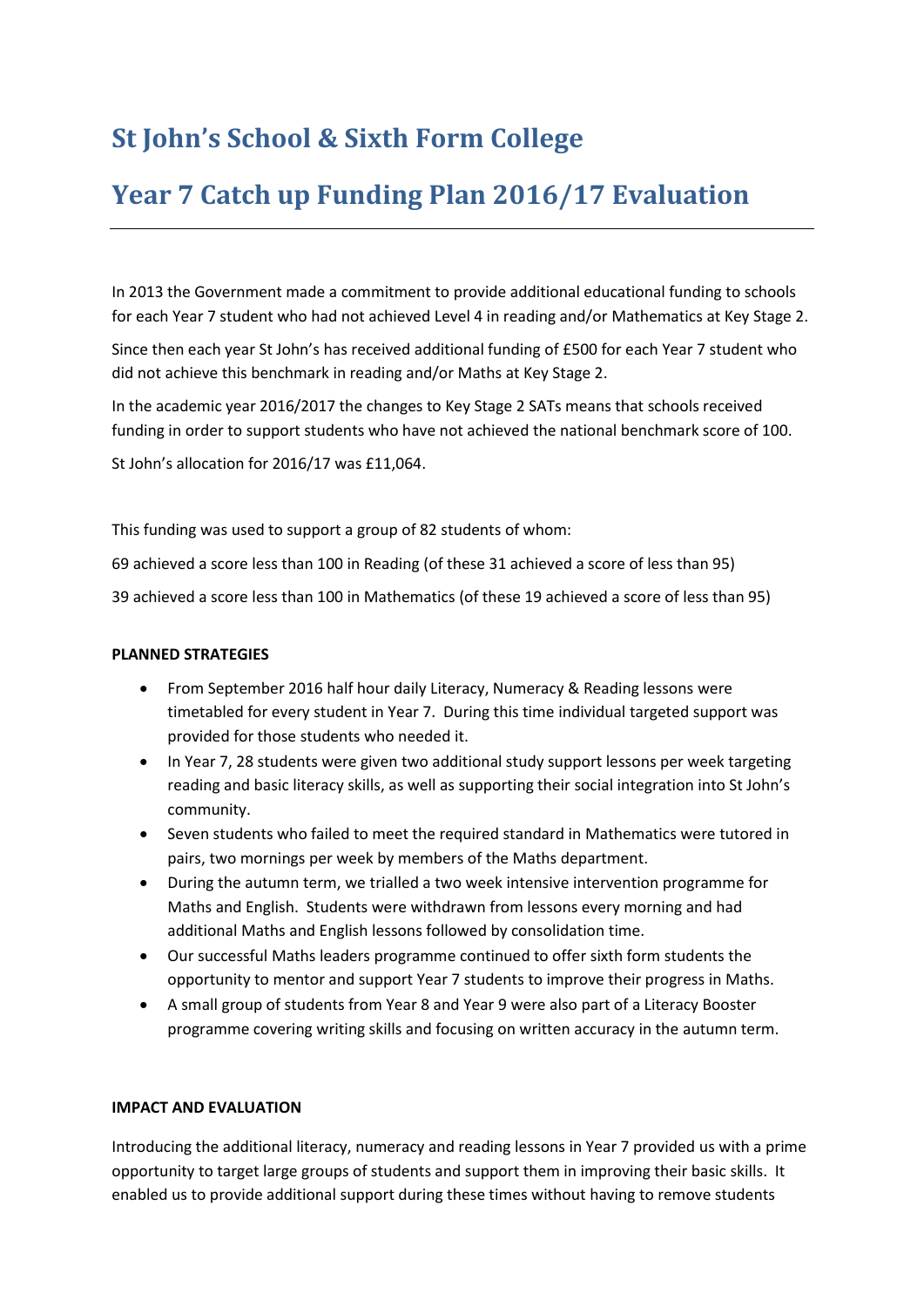## **St John's School & Sixth Form College**

## **Year 7 Catch up Funding Plan 2016/17 Evaluation**

In 2013 the Government made a commitment to provide additional educational funding to schools for each Year 7 student who had not achieved Level 4 in reading and/or Mathematics at Key Stage 2.

Since then each year St John's has received additional funding of £500 for each Year 7 student who did not achieve this benchmark in reading and/or Maths at Key Stage 2.

In the academic year 2016/2017 the changes to Key Stage 2 SATs means that schools received funding in order to support students who have not achieved the national benchmark score of 100.

St John's allocation for 2016/17 was £11,064.

This funding was used to support a group of 82 students of whom:

69 achieved a score less than 100 in Reading (of these 31 achieved a score of less than 95)

39 achieved a score less than 100 in Mathematics (of these 19 achieved a score of less than 95)

## **PLANNED STRATEGIES**

- From September 2016 half hour daily Literacy, Numeracy & Reading lessons were timetabled for every student in Year 7. During this time individual targeted support was provided for those students who needed it.
- In Year 7, 28 students were given two additional study support lessons per week targeting reading and basic literacy skills, as well as supporting their social integration into St John's community.
- Seven students who failed to meet the required standard in Mathematics were tutored in pairs, two mornings per week by members of the Maths department.
- During the autumn term, we trialled a two week intensive intervention programme for Maths and English. Students were withdrawn from lessons every morning and had additional Maths and English lessons followed by consolidation time.
- Our successful Maths leaders programme continued to offer sixth form students the opportunity to mentor and support Year 7 students to improve their progress in Maths.
- A small group of students from Year 8 and Year 9 were also part of a Literacy Booster programme covering writing skills and focusing on written accuracy in the autumn term.

## **IMPACT AND EVALUATION**

Introducing the additional literacy, numeracy and reading lessons in Year 7 provided us with a prime opportunity to target large groups of students and support them in improving their basic skills. It enabled us to provide additional support during these times without having to remove students